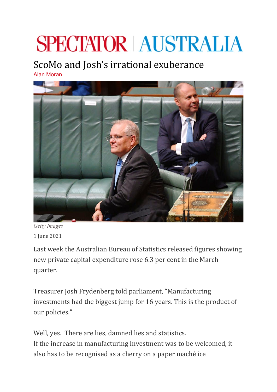# **SPECTATOR AUSTRALIA**

## ScoMo and Josh's irrational exuberance

[Alan Moran](https://spectator.com.au/author/alanmoran/)



*Getty Images*

1 June 2021

Last week the Australian Bureau of Statistics released figures showing new private capital expenditure rose 6.3 per cent in the March quarter.

Treasurer Josh Frydenberg told parliament, "Manufacturing investments had the biggest jump for 16 years. This is the product of our policies."

Well, yes. There are lies, damned lies and statistics. If the increase in manufacturing investment was to be welcomed, it also has to be recognised as a cherry on a paper maché ice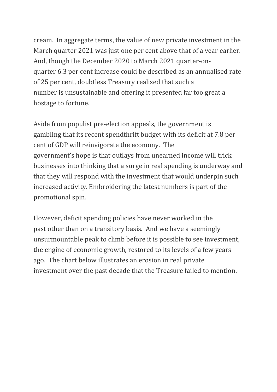cream. In aggregate terms, the value of new private investment in the March quarter 2021 was just one per cent above that of a year earlier. And, though the December 2020 to March 2021 quarter-onquarter 6.3 per cent increase could be described as an annualised rate of 25 per cent, doubtless Treasury realised that such a number is unsustainable and offering it presented far too great a hostage to fortune.

Aside from populist pre-election appeals, the government is gambling that its recent spendthrift budget with its deficit at 7.8 per cent of GDP will reinvigorate the economy. The government's hope is that outlays from unearned income will trick businesses into thinking that a surge in real spending is underway and that they will respond with the investment that would underpin such increased activity. Embroidering the latest numbers is part of the promotional spin.

However, deficit spending policies have never worked in the past other than on a transitory basis. And we have a seemingly unsurmountable peak to climb before it is possible to see investment, the engine of economic growth, restored to its levels of a few years ago. The chart below illustrates an erosion in real private investment over the past decade that the Treasure failed to mention.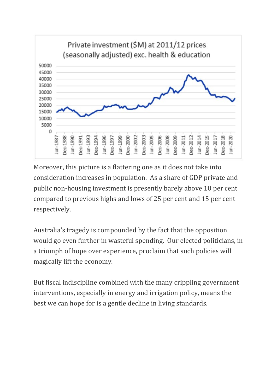

Moreover, this picture is a flattering one as it does not take into consideration increases in population. As a share of GDP private and public non-housing investment is presently barely above 10 per cent compared to previous highs and lows of 25 per cent and 15 per cent respectively.

Australia's tragedy is compounded by the fact that the opposition would go even further in wasteful spending. Our elected politicians, in a triumph of hope over experience, proclaim that such policies will magically lift the economy.

But fiscal indiscipline combined with the many crippling government interventions, especially in energy and irrigation policy, means the [best we can hope for is a gentle decline in living standards.](https://spectator.com.au/2021/05/the-risk-to-scomo-from-melbournes-latest-covid-flap/)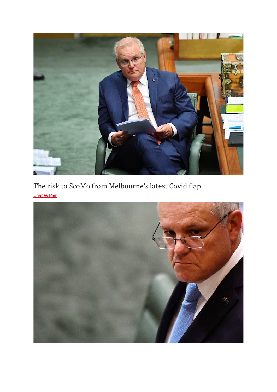

[The risk to ScoMo from Melbourne's latest Covid flap](https://spectator.com.au/2021/05/the-risk-to-scomo-from-melbournes-latest-covid-flap/) [Charles Pier](https://spectator.com.au/author/charles-pier/)

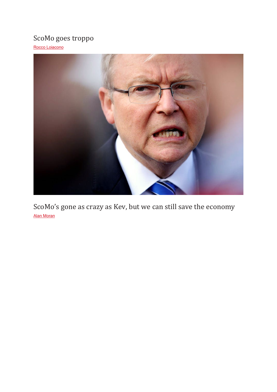### [ScoMo goes troppo](https://spectator.com.au/2021/05/scomo-goes-troppo/)

[Rocco Loiacono](https://spectator.com.au/author/rocco-loiacono/)



[ScoMo's gone as crazy as Kev, but we can still save the economy](https://spectator.com.au/2020/04/scomos-crazy-as-kevin-rudd-save-the-economy/) [Alan Moran](https://spectator.com.au/author/alanmoran/)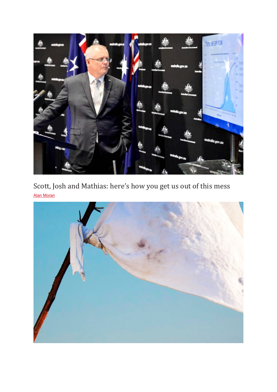

[Scott, Josh and Mathias: here's how you get us out of this mess](https://spectator.com.au/2020/04/scott-josh-and-mathias-heres-how-you-get-us-out-of-this-mess/) [Alan Moran](https://spectator.com.au/author/alanmoran/)

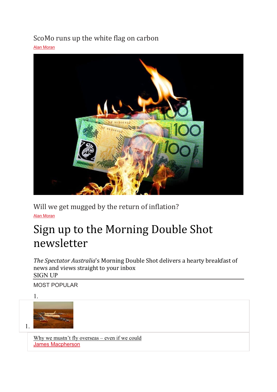### [ScoMo runs up the white flag on carbon](https://spectator.com.au/2021/01/morrison-runs-up-the-white-flag-on-carbon/)

[Alan Moran](https://spectator.com.au/author/alanmoran/)



[Will we get mugged by the return of inflation?](https://spectator.com.au/2021/05/will-we-get-mugged-by-the-return-of-inflation/) [Alan Moran](https://spectator.com.au/author/alanmoran/)

# Sign up to the Morning Double Shot newsletter

*The Spectator Australia*'s Morning Double Shot delivers a hearty breakfast of news and views straight to your inbox SIGN UP

MOST POPULAR





[Why we mustn't fly overseas –](https://spectator.com.au/2021/05/why-we-mustnt-fly-overseas-even-if-we-could/) even if we could [James Macpherson](https://spectator.com.au/author/james-macpherson/)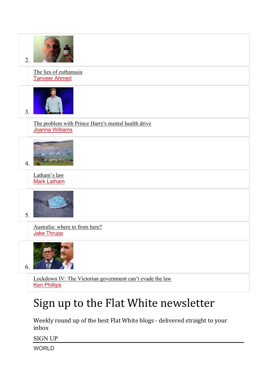

# Sign up to the Flat White newsletter

Weekly round up of the best Flat White blogs - delivered straight to your inbox

SIGN UP

**WORLD**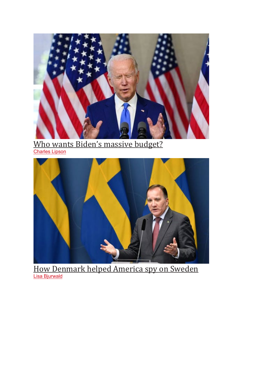

<u>[Who wants Biden's massive budget?](https://www.spectator.com.au/2021/06/who-wants-bidens-massive-budget/)</u> **[Charles Lipson](https://www.spectator.com.au/author/charles-lipsonexample-com/)** 



[How Denmark helped America spy on Sweden](https://www.spectator.com.au/2021/06/how-denmark-helped-america-spy-on-sweden/) [Lisa Bjurwald](https://www.spectator.com.au/author/lisa-bjurwaldexample-com/)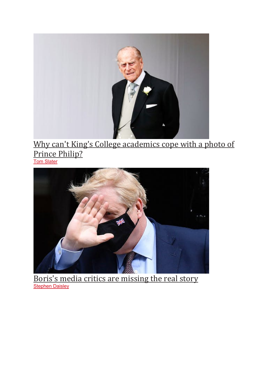

#### Why can't King's College academics cope with a photo of <u>[Prince Philip?](https://www.spectator.com.au/2021/06/why-cant-kings-college-academics-cope-with-a-photo-of-prince-philip/)</u> [Tom Slater](https://www.spectator.com.au/author/tom-slaterexample-com/)



Boris['s media critics are missing the real story](https://www.spectator.com.au/2021/06/boriss-media-critics-are-missing-the-real-story/) [Stephen Daisley](https://www.spectator.com.au/author/stephen-daisley/)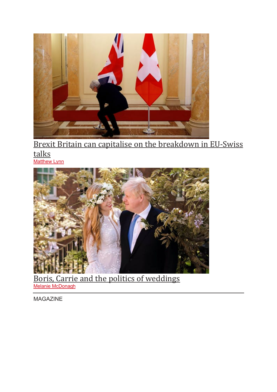

[Brexit Britain can capitalise on the breakdown in EU-Swiss](https://www.spectator.com.au/2021/05/brexit-britain-can-capitalise-on-the-breakdown-in-eu-swiss-talks/)  [talks](https://www.spectator.com.au/2021/05/brexit-britain-can-capitalise-on-the-breakdown-in-eu-swiss-talks/) **[Matthew Lynn](https://www.spectator.com.au/author/matthew-lynn/)** 



[Boris, Carrie and the politics of weddings](https://www.spectator.com.au/2021/05/boris-carrie-and-the-politics-of-weddings/) [Melanie McDonagh](https://www.spectator.com.au/author/melanie-mcdonagh/)

MAGAZINE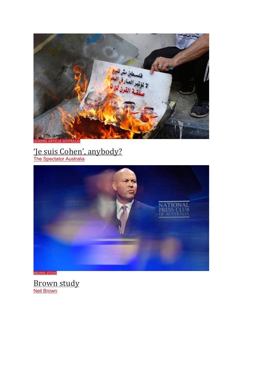نوندان ف the y Nú **ARTICLE AUSTRALIA** 

['Je suis Cohen', anybody?](https://www.spectator.com.au/2021/05/je-suis-cohen-anybody/)

<u>[The Spectator Australia](https://www.spectator.com.au/author/thespectatoraustralia/)</u>



[BROWN STUDY](https://www.spectator.com.au/category/australia/columnist-australia/australia-brown-study/)

<u>[Brown study](https://www.spectator.com.au/2021/05/brown-study-189/)</u> [Neil Brown](https://www.spectator.com.au/author/neil-brown/)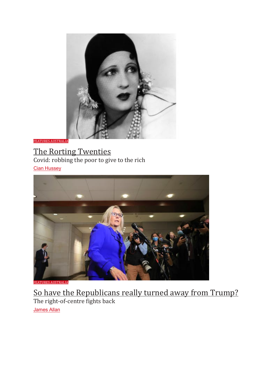

**FEATURES AUST** 

### [The Rorting Twenties](https://www.spectator.com.au/2021/05/the-rorting-twenties/)

Covid: robbing the poor to give to the rich **[Cian Hussey](https://www.spectator.com.au/author/cian-hussey/)** 



[FEATURES AUSTRALIA](https://www.spectator.com.au/category/australia/australia-features/)

[So have the Republicans really turned away from Trump?](https://www.spectator.com.au/2021/05/so-have-the-republicans-really-turned-away-from-trump/) The right-of-centre fights back [James Allan](https://www.spectator.com.au/author/james-allan/)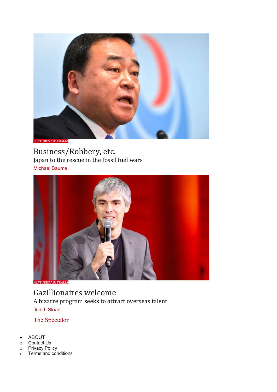

[FEATURES AUSTRALIA](https://www.spectator.com.au/category/australia/australia-features/)

### [Business/Robbery, etc.](https://www.spectator.com.au/2021/05/business-robbery-etc-69/)

Japan to the rescue in the fossil fuel wars [Michael Baume](https://www.spectator.com.au/author/michael-baume/)



**JRES AUSTRALIA** 

[Gazillionaires welcome](https://www.spectator.com.au/2021/05/gazillionaires-welcome/) A bizarre program seeks to attract overseas talent [Judith Sloan](https://www.spectator.com.au/author/judith-sloan/)

[The Spectator](https://spectator.com.au/)

- [ABOUT](https://spectator.com.au/about)
- o [Contact Us](https://spectator.com.au/about/contact-us)<br>o Privacy Poli
- o [Privacy Policy](https://www.spectator.com.au/about/privacy-policy/?_ga=2.234280918.975423467.1522237670-890908188.1522135496)<br>
o Terms and con
- [Terms and conditions](https://www.spectator.com.au/about/terms/?_ga=2.234280918.975423467.1522237670-890908188.1522135496)